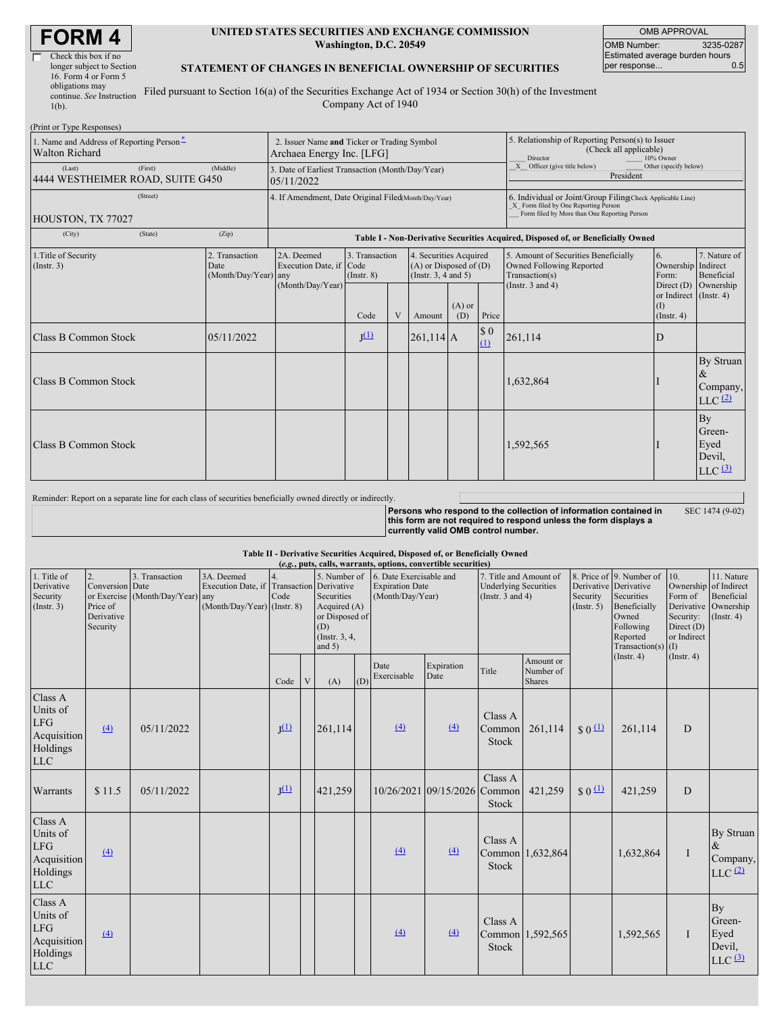| <b>FORM4</b> |
|--------------|
|--------------|

Г

| Check this box if no      |  |
|---------------------------|--|
| longer subject to Section |  |
| 16. Form 4 or Form 5      |  |
| obligations may           |  |
| continue. See Instruction |  |
|                           |  |
| $1(b)$ .                  |  |

#### **UNITED STATES SECURITIES AND EXCHANGE COMMISSION Washington, D.C. 20549**

OMB APPROVAL OMB Number: 3235-0287 Estimated average burden hours<br>per response... 0.5 per response...

### **STATEMENT OF CHANGES IN BENEFICIAL OWNERSHIP OF SECURITIES**

Filed pursuant to Section 16(a) of the Securities Exchange Act of 1934 or Section 30(h) of the Investment Company Act of 1940

| (Print or Type Responses)                                         |                                                |                                                                                  |                                   |   |                                                                                  |                 |                    |                                                                                                                                                                           |                                                                             |                                                        |  |
|-------------------------------------------------------------------|------------------------------------------------|----------------------------------------------------------------------------------|-----------------------------------|---|----------------------------------------------------------------------------------|-----------------|--------------------|---------------------------------------------------------------------------------------------------------------------------------------------------------------------------|-----------------------------------------------------------------------------|--------------------------------------------------------|--|
| 1. Name and Address of Reporting Person-<br><b>Walton Richard</b> |                                                | 2. Issuer Name and Ticker or Trading Symbol<br>Archaea Energy Inc. [LFG]         |                                   |   |                                                                                  |                 |                    | 5. Relationship of Reporting Person(s) to Issuer<br>(Check all applicable)<br>Director<br>10% Owner<br>X Officer (give title below)<br>Other (specify below)<br>President |                                                                             |                                                        |  |
| (First)<br>(Last)<br>4444 WESTHEIMER ROAD, SUITE G450             | (Middle)                                       | 3. Date of Earliest Transaction (Month/Day/Year)<br>05/11/2022                   |                                   |   |                                                                                  |                 |                    |                                                                                                                                                                           |                                                                             |                                                        |  |
| (Street)<br>HOUSTON, TX 77027                                     |                                                | 4. If Amendment, Date Original Filed(Month/Day/Year)                             |                                   |   |                                                                                  |                 |                    | 6. Individual or Joint/Group Filing(Check Applicable Line)<br>X Form filed by One Reporting Person<br>Form filed by More than One Reporting Person                        |                                                                             |                                                        |  |
| (State)<br>(City)                                                 | (Zip)                                          | Table I - Non-Derivative Securities Acquired, Disposed of, or Beneficially Owned |                                   |   |                                                                                  |                 |                    |                                                                                                                                                                           |                                                                             |                                                        |  |
| 1. Title of Security<br>$($ Instr. 3 $)$                          | 2. Transaction<br>Date<br>(Month/Day/Year) any | 2A. Deemed<br>Execution Date, if Code<br>(Month/Day/Year)                        | 3. Transaction<br>$($ Instr. $8)$ |   | 4. Securities Acquired<br>$(A)$ or Disposed of $(D)$<br>(Instr. $3, 4$ and $5$ ) |                 |                    | 5. Amount of Securities Beneficially<br>Owned Following Reported<br>Transaction(s)                                                                                        | 6.<br>Ownership Indirect<br>Form:                                           | 7. Nature of<br>Beneficial                             |  |
|                                                                   |                                                |                                                                                  | Code                              | V | Amount                                                                           | $(A)$ or<br>(D) | Price              | (Instr. $3$ and $4$ )                                                                                                                                                     | Direct $(D)$ Ownership<br>or Indirect (Instr. 4)<br>(I)<br>$($ Instr. 4 $)$ |                                                        |  |
| Class B Common Stock                                              | 05/11/2022                                     |                                                                                  | $J^{(1)}$                         |   | $261,114$ A                                                                      |                 | $\sqrt{50}$<br>(1) | 261,114                                                                                                                                                                   | D                                                                           |                                                        |  |
| <b>Class B Common Stock</b>                                       |                                                |                                                                                  |                                   |   |                                                                                  |                 |                    | 1,632,864                                                                                                                                                                 |                                                                             | By Struan<br>$\&$<br>Company,<br>$LLC$ $(2)$           |  |
| Class B Common Stock                                              |                                                |                                                                                  |                                   |   |                                                                                  |                 |                    | 1,592,565                                                                                                                                                                 |                                                                             | By<br>Green-<br>Eyed<br>Devil,<br>$LLC$ <sup>(3)</sup> |  |

Reminder: Report on a separate line for each class of securities beneficially owned directly or indirectly.

**Persons who respond to the collection of information contained in this form are not required to respond unless the form displays a currently valid OMB control number.** SEC 1474 (9-02)

#### **Table II - Derivative Securities Acquired, Disposed of, or Beneficially Owned**

| (e.g., puts, calls, warrants, options, convertible securities)             |                                                                           |                                                    |                                                                                          |                  |   |                                                                                                  |     |                                                                       |                              |                                                                                 |                                         |                                |                                                                                                                                           |                                                          |                                                                                               |
|----------------------------------------------------------------------------|---------------------------------------------------------------------------|----------------------------------------------------|------------------------------------------------------------------------------------------|------------------|---|--------------------------------------------------------------------------------------------------|-----|-----------------------------------------------------------------------|------------------------------|---------------------------------------------------------------------------------|-----------------------------------------|--------------------------------|-------------------------------------------------------------------------------------------------------------------------------------------|----------------------------------------------------------|-----------------------------------------------------------------------------------------------|
| 1. Title of<br>Derivative<br>Security<br>$($ Instr. 3 $)$                  | $\overline{2}$ .<br>Conversion Date<br>Price of<br>Derivative<br>Security | 3. Transaction<br>or Exercise (Month/Day/Year) any | 3A. Deemed<br>Execution Date, if Transaction Derivative<br>$(Month/Day/Year)$ (Instr. 8) | 4.<br>Code       |   | 5. Number of<br>Securities<br>Acquired (A)<br>or Disposed of<br>(D)<br>(Instr. 3, 4,<br>and $5)$ |     | 6. Date Exercisable and<br><b>Expiration Date</b><br>(Month/Day/Year) |                              | 7. Title and Amount of<br><b>Underlying Securities</b><br>(Instr. $3$ and $4$ ) |                                         | Security<br>$($ Instr. 5 $)$   | 8. Price of 9. Number of<br>Derivative Derivative<br>Securities<br>Beneficially<br>Owned<br>Following<br>Reported<br>Transaction(s) $(I)$ | 10.<br>Form of<br>Security:<br>Direct (D)<br>or Indirect | 11. Nature<br>Ownership of Indirect<br>Beneficial<br>Derivative Ownership<br>$($ Instr. 4 $)$ |
|                                                                            |                                                                           |                                                    |                                                                                          | Code             | V | (A)                                                                                              | (D) | Date<br>Exercisable                                                   | Expiration<br>Date           | Title                                                                           | Amount or<br>Number of<br><b>Shares</b> |                                | $($ Instr. 4 $)$                                                                                                                          | $($ Instr. 4 $)$                                         |                                                                                               |
| Class A<br>Units of<br><b>LFG</b><br>Acquisition<br>Holdings<br><b>LLC</b> | $\left(4\right)$                                                          | 05/11/2022                                         |                                                                                          | I <sup>(1)</sup> |   | 261,114                                                                                          |     | (4)                                                                   | $\left(4\right)$             | Class A<br>Common<br><b>Stock</b>                                               | 261,114                                 | $\frac{1}{2}$ 0 $\frac{11}{2}$ | 261,114                                                                                                                                   | D                                                        |                                                                                               |
| Warrants                                                                   | \$11.5                                                                    | 05/11/2022                                         |                                                                                          | $J^{(1)}$        |   | 421,259                                                                                          |     |                                                                       | 10/26/2021 09/15/2026 Common | Class A<br>Stock                                                                | 421,259                                 | $S_0$ <sup>(1)</sup>           | 421,259                                                                                                                                   | D                                                        |                                                                                               |
| Class A<br>Units of<br>LFG<br>Acquisition<br>Holdings<br><b>LLC</b>        | $\left(4\right)$                                                          |                                                    |                                                                                          |                  |   |                                                                                                  |     | (4)                                                                   | (4)                          | Class A<br><b>Stock</b>                                                         | Common 1,632,864                        |                                | 1,632,864                                                                                                                                 | $\mathbf I$                                              | By Struan<br>$\&$<br>Company,<br>$LLC$ $(2)$                                                  |
| Class A<br>Units of<br>LFG<br>Acquisition<br>Holdings<br><b>LLC</b>        | $\left(4\right)$                                                          |                                                    |                                                                                          |                  |   |                                                                                                  |     | (4)                                                                   | $\left(4\right)$             | Class A<br><b>Stock</b>                                                         | Common 1,592,565                        |                                | 1,592,565                                                                                                                                 | $\bf{I}$                                                 | <b>By</b><br>Green-<br>Eyed<br>Devil,<br>$LLC$ $(3)$                                          |